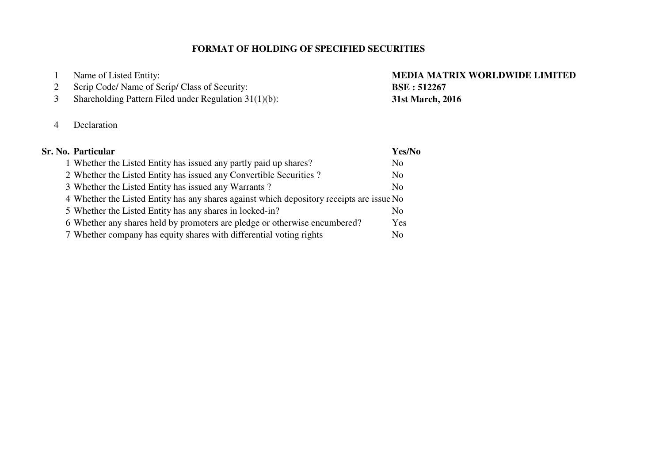## **FORMAT OF HOLDING OF SPECIFIED SECURITIES**

| $\pm 1$ | Name of Listed Entity:                                   |
|---------|----------------------------------------------------------|
|         | 2 Scrip Code/ Name of Scrip/ Class of Security:          |
| 3       | Shareholding Pattern Filed under Regulation $31(1)(b)$ : |

### 4 Declaration

### **Sr. No. Particular Yes/No**1 Whether the Listed Entity has issued any partly paid up shares? NoN<sub>o</sub> 2 Whether the Listed Entity has issued any Convertible Securities ? N<sub>o</sub> 3 Whether the Listed Entity has issued any Warrants? 4 Whether the Listed Entity has any shares against which depository receipts are issue No  $No$ 5 Whether the Listed Entity has any shares in locked-in? Yes 6 Whether any shares held by promoters are pledge or otherwise encumbered?  $No$ 7 Whether company has equity shares with differential voting rights

# **MEDIA MATRIX WORLDWIDE LIMITED BSE : 51226731st March, 2016**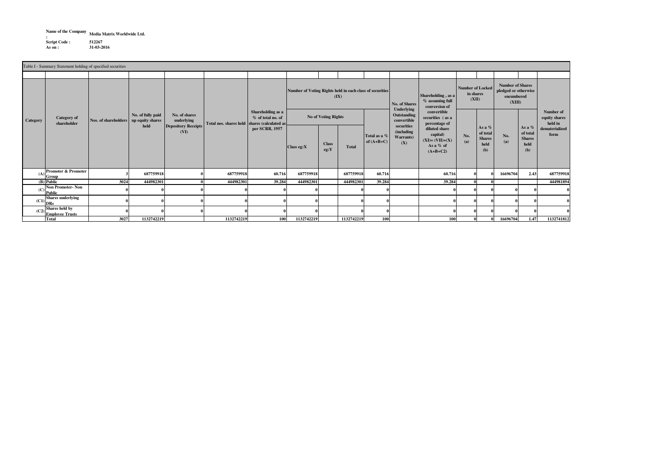**Name of the Company :Media Matrix Worldwide Ltd.**

 **Script Code : <sup>512267</sup> 31-03-2016As on :**

**Class eg:X Class eg:Y Total** (A) **Promoter & Promoter** Promoter & Promoter | 3 687759918 | 687759918 | 687759918 60.716 687759918 60.716 67759918 60.716 | 60.716 | 60.716 | 60.716 | 60.716 | 16696704 2.43 687759918 **(B) Public**c | 3024 444982301| 0| 444982301| 39.284| 444982301| |444982301| 39.284| | 39.284| 0| 0| | | 444981894 **(C) Non Promoter- Non Public <sup>0</sup> <sup>0</sup> <sup>0</sup> <sup>0</sup> <sup>0</sup> <sup>0</sup> <sup>0</sup> <sup>0</sup> <sup>0</sup> <sup>0</sup> <sup>0</sup> <sup>0</sup> <sup>0</sup> <sup>0</sup>**  $(C1)$ **Shart Shares underlying**<br>DRs<br>Shares held by **<sup>0</sup> <sup>0</sup> <sup>0</sup> <sup>0</sup> <sup>0</sup> <sup>0</sup> <sup>0</sup> <sup>0</sup> <sup>0</sup> <sup>0</sup> <sup>0</sup> <sup>0</sup> <sup>0</sup> <sup>0</sup> (C2)Employee Trusts <sup>0</sup> <sup>0</sup> <sup>0</sup> <sup>0</sup> <sup>0</sup> <sup>0</sup> <sup>0</sup> <sup>0</sup> <sup>0</sup> <sup>0</sup> <sup>0</sup> <sup>0</sup> <sup>0</sup> <sup>0</sup> Total 3027No. (a)As a % of total Shares held (b)Shareholding , as a % assuming full conversion of convertible securities ( as a percentage of diluted share capital) (XI)= (VII)+(X)As a % of (A+B+C2)No of Voting Rights**Xo. of fully paid **No. of Shares No. of Shares No. of Shares Total nos. shares held** shares the shareholder shareholder shareholder **Shareholder Shareholder Shareholder Shareholder Shareholder Shareholder Depository Receipts(VI)No. of Shares Underlying Outstanding convertible securities (including Warrants)(X)Category**Table I - Summary Statement holding of specified securities**Number of Voting Rights held in each class of securities(IX)Number of Locked in shares (XII)Number of Shares pledged or otherwise encumbered(XIII)Number of equity shares held in dematerialized formNo. of fully paid up equity shares heldNo. (a)As a % of total Shares held (b)Nos. of shareholdersCategory of shareholderTotal as a % of (A+B+C)Shareholding as a % of total no. of per SCRR, 1957**

**<sup>1132742219</sup> <sup>1132742219</sup> <sup>100</sup> <sup>1132742219</sup> <sup>1132742219</sup> <sup>100</sup> <sup>100</sup> <sup>0</sup> <sup>0</sup> <sup>16696704</sup> 1.47 <sup>1132741812</sup>**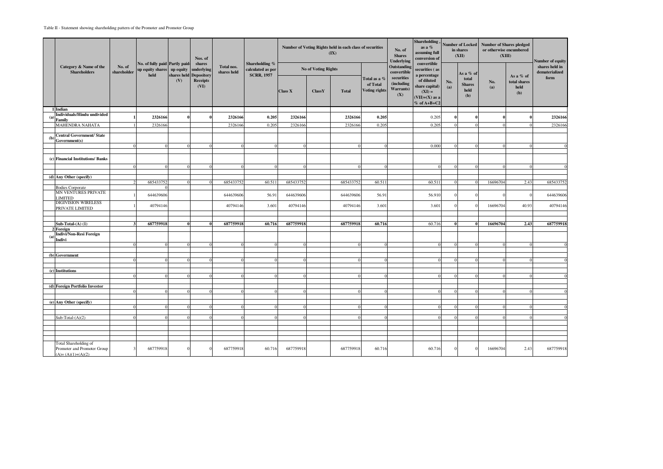|     |                                                    |                       |                                                                      |             | Nos. of<br>shares<br>underlying<br><b>Depository</b> |                           | Shareholding %<br>calculated as per<br><b>SCRR, 1957</b> |                |                     | Number of Voting Rights held in each class of securities<br>(IX) |                                                  | No. of<br><b>Shares</b><br><b>Underlying</b> | Shareholding,<br>as a %<br>assuming full<br>conversion of                                                                  | <b>Number of Locked</b><br>in shares<br>(XII) |                                       | <b>Number of Shares pledged</b><br>or otherwise encumbered<br>(XIII) | Number of equity                         |                                          |
|-----|----------------------------------------------------|-----------------------|----------------------------------------------------------------------|-------------|------------------------------------------------------|---------------------------|----------------------------------------------------------|----------------|---------------------|------------------------------------------------------------------|--------------------------------------------------|----------------------------------------------|----------------------------------------------------------------------------------------------------------------------------|-----------------------------------------------|---------------------------------------|----------------------------------------------------------------------|------------------------------------------|------------------------------------------|
|     | Category & Name of the<br><b>Shareholders</b>      | No. of<br>shareholder | No. of fully paid Partly paid-<br>up equity shares up equity<br>held | shares held |                                                      | Total nos.<br>shares held |                                                          |                | No of Voting Rights |                                                                  |                                                  | Outstanding<br>convertible<br>securities     | convertible<br>ecurities (as<br>percentage<br>of diluted<br>hare capital)<br>$(XI) =$<br>$(VII)+(X)$ as a<br>$%$ of A+B+C2 |                                               | As a % of                             | No.<br>(a)                                                           | As a % of<br>total shares<br>held<br>(b) | shares held in<br>dematerialized<br>form |
|     |                                                    |                       |                                                                      | (V)         | <b>Receipts</b><br>(VI)                              |                           |                                                          | <b>Class X</b> | ClassY              | <b>Total</b>                                                     | Total as a %<br>of Total<br><b>Voting rights</b> | (including<br>Warrants)<br>(X)               |                                                                                                                            | No.<br>(a)                                    | total<br><b>Shares</b><br>held<br>(b) |                                                                      |                                          |                                          |
|     | 1 Indian                                           |                       |                                                                      |             |                                                      |                           |                                                          |                |                     |                                                                  |                                                  |                                              |                                                                                                                            |                                               |                                       |                                                                      |                                          |                                          |
| (a) | Individuals/Hindu undivided<br>Family              |                       | 2326166                                                              |             |                                                      | 2326166                   | 0.205                                                    | 2326166        |                     | 2326166                                                          | 0.205                                            |                                              | 0.205                                                                                                                      |                                               |                                       |                                                                      |                                          | 2326166                                  |
|     | <b>MAHENDRA NAHATA</b>                             |                       | 2326166                                                              |             |                                                      | 2326166                   | 0.205                                                    | 2326166        |                     | 2326166                                                          | 0.205                                            |                                              | 0.205                                                                                                                      |                                               |                                       |                                                                      |                                          | 2326166                                  |
|     |                                                    |                       |                                                                      |             |                                                      |                           |                                                          |                |                     |                                                                  |                                                  |                                              |                                                                                                                            |                                               |                                       |                                                                      |                                          |                                          |
| (b) | <b>Central Government/ State</b><br>Government(s)  |                       |                                                                      |             |                                                      |                           |                                                          |                |                     |                                                                  |                                                  |                                              |                                                                                                                            |                                               |                                       |                                                                      |                                          |                                          |
|     |                                                    |                       |                                                                      |             |                                                      |                           |                                                          |                |                     |                                                                  |                                                  |                                              | 0.000                                                                                                                      |                                               |                                       |                                                                      |                                          | $\overline{0}$                           |
|     |                                                    |                       |                                                                      |             |                                                      |                           |                                                          |                |                     |                                                                  |                                                  |                                              |                                                                                                                            |                                               |                                       |                                                                      |                                          |                                          |
|     | (c) Financial Institutions/ Banks                  |                       |                                                                      |             |                                                      |                           |                                                          |                |                     |                                                                  |                                                  |                                              |                                                                                                                            |                                               |                                       |                                                                      |                                          |                                          |
|     |                                                    |                       |                                                                      |             |                                                      |                           |                                                          |                |                     |                                                                  |                                                  |                                              |                                                                                                                            |                                               |                                       |                                                                      |                                          | $\Omega$                                 |
|     |                                                    |                       |                                                                      |             |                                                      |                           |                                                          |                |                     |                                                                  |                                                  |                                              |                                                                                                                            |                                               |                                       |                                                                      |                                          |                                          |
|     | (d) Any Other (specify)                            |                       | 685433752                                                            |             |                                                      | 685433752                 | 60.511                                                   | 685433752      |                     | 685433752                                                        | 60.511                                           |                                              | 60.511                                                                                                                     |                                               |                                       | 16696704                                                             | 2.43                                     | 685433752                                |
|     | <b>Bodies Corporate</b>                            |                       |                                                                      |             |                                                      |                           |                                                          |                |                     |                                                                  |                                                  |                                              |                                                                                                                            |                                               |                                       |                                                                      |                                          |                                          |
|     | MN VENTURES PRIVATE<br>LIMITED                     |                       | 644639606                                                            |             |                                                      | 644639606                 | 56.91                                                    | 644639606      |                     | 644639606                                                        | 56.91                                            |                                              | 56.910                                                                                                                     |                                               |                                       |                                                                      | $\Omega$                                 | 644639606                                |
|     | <b>DIGIVISION WIRELESS</b><br>PRIVATE LIMITED      |                       | 40794146                                                             |             |                                                      | 40794146                  | 3.601                                                    | 40794146       |                     | 40794146                                                         | 3.601                                            |                                              | 3.601                                                                                                                      |                                               |                                       | 16696704                                                             | 40.93                                    | 40794146                                 |
|     |                                                    |                       |                                                                      |             |                                                      |                           |                                                          |                |                     |                                                                  |                                                  |                                              |                                                                                                                            |                                               |                                       |                                                                      |                                          |                                          |
|     | Sub-Total- $(A)$ (1)                               |                       | 687759918                                                            |             |                                                      | 687759918                 | 60.716                                                   | 687759918      |                     | 687759918                                                        | 60.716                                           |                                              | 60.716                                                                                                                     |                                               |                                       | 16696704                                                             | 2.43                                     | 687759918                                |
|     | 2 Foreign                                          |                       |                                                                      |             |                                                      |                           |                                                          |                |                     |                                                                  |                                                  |                                              |                                                                                                                            |                                               |                                       |                                                                      |                                          |                                          |
| (a) | Indivi/Non-Resi Foreign<br>Indivi                  |                       |                                                                      |             |                                                      |                           |                                                          |                |                     |                                                                  |                                                  |                                              |                                                                                                                            |                                               |                                       |                                                                      |                                          |                                          |
|     |                                                    | $\Omega$              | $\Omega$                                                             |             | $\Omega$                                             | $\Omega$                  | $\Omega$                                                 |                |                     |                                                                  |                                                  |                                              | $\overline{0}$                                                                                                             | $\Omega$                                      | $\Omega$                              | $\Omega$                                                             | $\Omega$                                 | $\Omega$                                 |
|     |                                                    |                       |                                                                      |             |                                                      |                           |                                                          |                |                     |                                                                  |                                                  |                                              |                                                                                                                            |                                               |                                       |                                                                      |                                          |                                          |
|     | (b) Government                                     |                       |                                                                      |             |                                                      |                           |                                                          |                |                     |                                                                  |                                                  |                                              |                                                                                                                            |                                               |                                       |                                                                      |                                          | $\Omega$                                 |
|     |                                                    |                       |                                                                      |             |                                                      |                           |                                                          |                |                     |                                                                  |                                                  |                                              |                                                                                                                            |                                               |                                       |                                                                      |                                          |                                          |
|     | (c) Institutions                                   |                       |                                                                      |             |                                                      |                           |                                                          |                |                     |                                                                  |                                                  |                                              |                                                                                                                            |                                               |                                       |                                                                      |                                          | $\Omega$                                 |
|     |                                                    |                       |                                                                      |             |                                                      |                           |                                                          |                |                     |                                                                  |                                                  |                                              |                                                                                                                            |                                               |                                       |                                                                      |                                          |                                          |
|     | (d) Foreign Portfolio Investor                     |                       |                                                                      |             |                                                      |                           |                                                          |                |                     |                                                                  |                                                  |                                              |                                                                                                                            |                                               |                                       |                                                                      |                                          |                                          |
|     |                                                    |                       |                                                                      |             |                                                      |                           |                                                          |                |                     |                                                                  |                                                  |                                              |                                                                                                                            |                                               |                                       |                                                                      |                                          | $\Omega$                                 |
|     | (e) Any Other (specify)                            |                       |                                                                      |             |                                                      |                           |                                                          |                |                     |                                                                  |                                                  |                                              |                                                                                                                            |                                               |                                       |                                                                      |                                          |                                          |
|     |                                                    |                       |                                                                      |             |                                                      |                           |                                                          |                |                     |                                                                  |                                                  |                                              |                                                                                                                            |                                               |                                       |                                                                      |                                          | $\Omega$                                 |
|     | $Sub-Total-(A)(2)$                                 |                       |                                                                      |             |                                                      |                           |                                                          |                |                     |                                                                  |                                                  |                                              |                                                                                                                            |                                               |                                       |                                                                      |                                          | $\Omega$                                 |
|     |                                                    |                       |                                                                      |             |                                                      |                           |                                                          |                |                     |                                                                  |                                                  |                                              |                                                                                                                            |                                               |                                       |                                                                      |                                          |                                          |
|     |                                                    |                       |                                                                      |             |                                                      |                           |                                                          |                |                     |                                                                  |                                                  |                                              |                                                                                                                            |                                               |                                       |                                                                      |                                          |                                          |
|     |                                                    |                       |                                                                      |             |                                                      |                           |                                                          |                |                     |                                                                  |                                                  |                                              |                                                                                                                            |                                               |                                       |                                                                      |                                          |                                          |
|     | Total Shareholding of                              |                       |                                                                      |             |                                                      |                           |                                                          |                |                     |                                                                  |                                                  |                                              |                                                                                                                            |                                               |                                       |                                                                      |                                          |                                          |
|     | Promoter and Promoter Group<br>$(A)=(A)(1)+(A)(2)$ |                       | 687759918                                                            |             |                                                      | 687759918                 | 60.716                                                   | 687759918      |                     | 687759918                                                        | 60.716                                           |                                              | 60.716                                                                                                                     |                                               |                                       | 16696704                                                             | 2.43                                     | 687759918                                |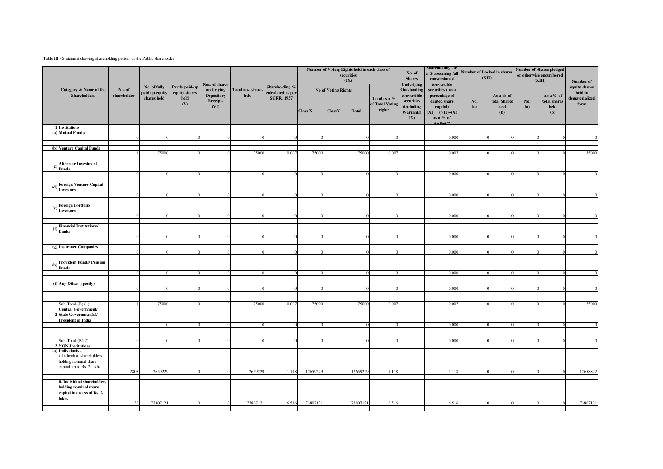### Table III - Statement showing shareholding pattern of the Public shareholder

|     |                                                                                    |                       |                                |                                 | Nos. of shares                                             |                                    | Shareholding %<br>calculated as per | Number of Voting Rights held in each class of<br>securities<br>(IX) |                            |              |                                           | No. of<br><b>Shares</b><br><b>Underlying</b> | Snarenoiding, as<br>conversion of<br>convertible                                                              | a % assuming full Number of Locked in shares<br>(XII) |                                      | <b>Number of Shares pledged</b><br>or otherwise encumbered<br>(XIII) |                                                   | Number of                |
|-----|------------------------------------------------------------------------------------|-----------------------|--------------------------------|---------------------------------|------------------------------------------------------------|------------------------------------|-------------------------------------|---------------------------------------------------------------------|----------------------------|--------------|-------------------------------------------|----------------------------------------------|---------------------------------------------------------------------------------------------------------------|-------------------------------------------------------|--------------------------------------|----------------------------------------------------------------------|---------------------------------------------------|--------------------------|
|     | Category & Name of the<br><b>Shareholders</b>                                      | No. of<br>shareholder | No. of fully<br>paid up equity | Partly paid-up<br>equity shares | underlying<br><b>Depository</b><br><b>Receipts</b><br>(VI) | Total nos. shares<br>$_{\rm held}$ |                                     |                                                                     | <b>No of Voting Rights</b> |              |                                           | Outstanding<br>convertible                   | securities (as a<br>percentage of<br>diluted share<br>capital)<br>$(XI) = (VII)+(X)$<br>as a % of<br>$A+BAC2$ | No.<br>(a)                                            | As a % of                            |                                                                      | As a % of<br>total shares<br>$\bold{held}$<br>(b) | equity shares<br>held in |
|     |                                                                                    |                       | shares held                    | held<br>(V)                     |                                                            |                                    | <b>SCRR, 1957</b>                   | <b>Class X</b>                                                      | <b>ClassY</b>              | <b>Total</b> | Total as a %<br>of Total Voting<br>rights | securities<br>(including<br>Warrants)<br>(X) |                                                                                                               |                                                       | total Shares<br>$\bold{held}$<br>(b) | No.<br>(a)                                                           |                                                   | dematerialized<br>form   |
|     | 1 Institutions<br>(a) Mutual Funds/                                                |                       |                                |                                 |                                                            |                                    |                                     |                                                                     |                            |              |                                           |                                              |                                                                                                               |                                                       |                                      |                                                                      |                                                   |                          |
|     |                                                                                    | $\Omega$              |                                |                                 |                                                            |                                    | $\Omega$                            |                                                                     |                            |              |                                           |                                              | 0.000                                                                                                         |                                                       |                                      |                                                                      |                                                   |                          |
|     | (b) Venture Capital Funds                                                          |                       |                                |                                 |                                                            |                                    |                                     |                                                                     |                            |              |                                           |                                              |                                                                                                               |                                                       |                                      |                                                                      |                                                   |                          |
|     |                                                                                    |                       | 75000                          |                                 |                                                            | 75000                              | 0.007                               | 75000                                                               |                            | 75000        | 0.007                                     |                                              | 0.007                                                                                                         |                                                       |                                      |                                                                      |                                                   | 75000                    |
|     | <b>Alternate Investment</b>                                                        |                       |                                |                                 |                                                            |                                    |                                     |                                                                     |                            |              |                                           |                                              |                                                                                                               |                                                       |                                      |                                                                      |                                                   |                          |
| (c) | Funds                                                                              |                       |                                |                                 |                                                            |                                    |                                     |                                                                     |                            |              |                                           |                                              |                                                                                                               |                                                       |                                      |                                                                      |                                                   |                          |
|     |                                                                                    |                       |                                |                                 |                                                            |                                    |                                     |                                                                     |                            |              |                                           |                                              | 0.000                                                                                                         |                                                       | $\Omega$                             |                                                                      |                                                   |                          |
| (d) | Foreign Venture Capital                                                            |                       |                                |                                 |                                                            |                                    |                                     |                                                                     |                            |              |                                           |                                              |                                                                                                               |                                                       |                                      |                                                                      |                                                   |                          |
|     | Investors                                                                          |                       |                                |                                 |                                                            |                                    |                                     |                                                                     |                            |              |                                           |                                              | 0.000                                                                                                         |                                                       |                                      |                                                                      |                                                   |                          |
|     |                                                                                    |                       |                                |                                 |                                                            |                                    |                                     |                                                                     |                            |              |                                           |                                              |                                                                                                               |                                                       |                                      |                                                                      |                                                   |                          |
| (e) | <b>Foreign Portfolio</b><br><b>Investors</b>                                       |                       |                                |                                 |                                                            |                                    |                                     |                                                                     |                            |              |                                           |                                              |                                                                                                               |                                                       |                                      |                                                                      |                                                   |                          |
|     |                                                                                    |                       |                                |                                 |                                                            |                                    |                                     |                                                                     |                            |              |                                           |                                              | 0.000                                                                                                         |                                                       |                                      |                                                                      |                                                   |                          |
| (f) | <b>Financial Institutions/</b>                                                     |                       |                                |                                 |                                                            |                                    |                                     |                                                                     |                            |              |                                           |                                              |                                                                                                               |                                                       |                                      |                                                                      |                                                   |                          |
|     | <b>Banks</b>                                                                       |                       |                                |                                 |                                                            |                                    |                                     |                                                                     |                            |              |                                           |                                              | 0.000                                                                                                         |                                                       |                                      |                                                                      |                                                   |                          |
|     |                                                                                    |                       |                                |                                 |                                                            |                                    |                                     |                                                                     |                            |              |                                           |                                              |                                                                                                               |                                                       |                                      |                                                                      |                                                   |                          |
|     | (g) Insurance Companies                                                            |                       |                                |                                 |                                                            |                                    |                                     |                                                                     |                            |              |                                           |                                              | 0.000                                                                                                         |                                                       |                                      |                                                                      |                                                   |                          |
|     |                                                                                    |                       |                                |                                 |                                                            |                                    |                                     |                                                                     |                            |              |                                           |                                              |                                                                                                               |                                                       |                                      |                                                                      |                                                   |                          |
| (h) | <b>Provident Funds/ Pension</b><br>Funds                                           |                       |                                |                                 |                                                            |                                    |                                     |                                                                     |                            |              |                                           |                                              |                                                                                                               |                                                       |                                      |                                                                      |                                                   |                          |
|     |                                                                                    |                       |                                |                                 |                                                            |                                    |                                     |                                                                     |                            |              |                                           |                                              | 0.000                                                                                                         |                                                       |                                      |                                                                      |                                                   |                          |
|     | (i) Any Other (specify)                                                            |                       |                                |                                 |                                                            |                                    |                                     |                                                                     |                            |              |                                           |                                              |                                                                                                               |                                                       |                                      |                                                                      |                                                   |                          |
|     |                                                                                    |                       |                                |                                 |                                                            |                                    |                                     |                                                                     |                            |              |                                           |                                              | 0.000                                                                                                         |                                                       |                                      |                                                                      |                                                   |                          |
|     |                                                                                    |                       |                                |                                 |                                                            |                                    |                                     |                                                                     |                            |              |                                           |                                              |                                                                                                               |                                                       |                                      |                                                                      |                                                   |                          |
|     | $Sub-Total-(B)$ (1)                                                                |                       | 75000                          |                                 |                                                            | 75000                              | 0.007                               | 75000                                                               |                            | 75000        | 0.007                                     |                                              | 0.007                                                                                                         |                                                       |                                      |                                                                      |                                                   | 75000                    |
|     | <b>Central Government/</b><br>2 State Government(s)/                               |                       |                                |                                 |                                                            |                                    |                                     |                                                                     |                            |              |                                           |                                              |                                                                                                               |                                                       |                                      |                                                                      |                                                   |                          |
|     | <b>President of India</b>                                                          |                       |                                |                                 |                                                            |                                    |                                     |                                                                     |                            |              |                                           |                                              | 0.000                                                                                                         |                                                       |                                      |                                                                      |                                                   |                          |
|     |                                                                                    |                       |                                |                                 |                                                            |                                    |                                     |                                                                     |                            |              |                                           |                                              |                                                                                                               |                                                       |                                      |                                                                      |                                                   |                          |
|     | $Sub-Total-(B)(2)$                                                                 |                       |                                |                                 |                                                            |                                    |                                     |                                                                     |                            |              |                                           |                                              | 0.000                                                                                                         |                                                       |                                      |                                                                      |                                                   |                          |
|     | <b>3 NON-Institutions</b>                                                          |                       |                                |                                 |                                                            |                                    |                                     |                                                                     |                            |              |                                           |                                              |                                                                                                               |                                                       |                                      |                                                                      |                                                   |                          |
|     | (a) Individuals -<br>Individual shareholders                                       |                       |                                |                                 |                                                            |                                    |                                     |                                                                     |                            |              |                                           |                                              |                                                                                                               |                                                       |                                      |                                                                      |                                                   |                          |
|     | holding nominal share                                                              |                       |                                |                                 |                                                            |                                    |                                     |                                                                     |                            |              |                                           |                                              |                                                                                                               |                                                       |                                      |                                                                      |                                                   |                          |
|     | apital up to Rs. 2 lakhs.                                                          | 2805                  | 12659229                       |                                 |                                                            | 12659229                           | 1.118                               | 12659229                                                            |                            | 12659229     | 1.118                                     |                                              | 1.118                                                                                                         |                                                       |                                      |                                                                      |                                                   | 12658822                 |
|     |                                                                                    |                       |                                |                                 |                                                            |                                    |                                     |                                                                     |                            |              |                                           |                                              |                                                                                                               |                                                       |                                      |                                                                      |                                                   |                          |
|     | ii. Individual shareholders<br>holding nominal share<br>capital in excess of Rs. 2 |                       |                                |                                 |                                                            |                                    |                                     |                                                                     |                            |              |                                           |                                              |                                                                                                               |                                                       |                                      |                                                                      |                                                   |                          |
|     | akhs.                                                                              | 36                    | 73807121                       |                                 |                                                            | 73807121                           | 6.516                               | 73807121                                                            |                            | 73807121     | 6.516                                     |                                              | 6.516                                                                                                         |                                                       |                                      |                                                                      |                                                   | 73807121                 |
|     |                                                                                    |                       |                                |                                 |                                                            |                                    |                                     |                                                                     |                            |              |                                           |                                              |                                                                                                               |                                                       |                                      |                                                                      |                                                   |                          |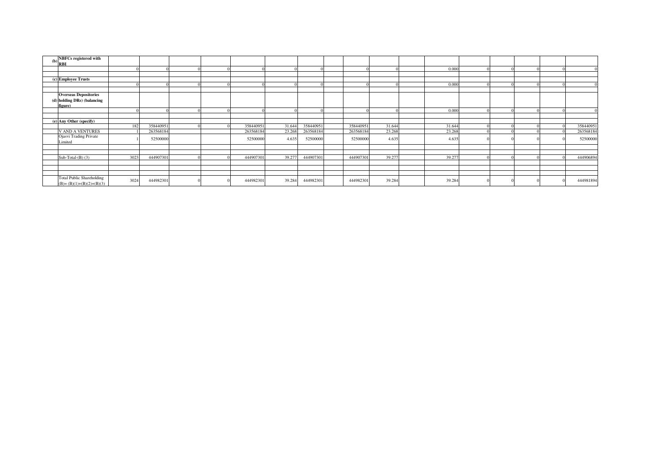| (b) | <b>NBFCs</b> registered with<br>'IRBI                                  |      |           |  |           |        |           |           |        |        |  |  |           |
|-----|------------------------------------------------------------------------|------|-----------|--|-----------|--------|-----------|-----------|--------|--------|--|--|-----------|
|     |                                                                        |      |           |  |           |        |           |           |        | 0.000  |  |  |           |
|     |                                                                        |      |           |  |           |        |           |           |        |        |  |  |           |
|     | (c) Employee Trusts                                                    |      |           |  |           |        |           |           |        |        |  |  |           |
|     |                                                                        |      |           |  |           |        |           |           |        | 0.000  |  |  |           |
|     |                                                                        |      |           |  |           |        |           |           |        |        |  |  |           |
|     | <b>Overseas Depositories</b><br>(d) holding DRs) (balancing<br>figure) |      |           |  |           |        |           |           |        |        |  |  |           |
|     |                                                                        |      |           |  |           |        |           |           |        | 0.000  |  |  |           |
|     |                                                                        |      |           |  |           |        |           |           |        |        |  |  |           |
|     | (e) Any Other (specify)                                                |      |           |  |           |        |           |           |        |        |  |  |           |
|     |                                                                        | 182  | 358440951 |  | 358440951 | 31.644 | 358440951 | 358440951 | 31.644 | 31.644 |  |  | 358440951 |
|     | V AND A VENTURES                                                       |      | 263568184 |  | 263568184 | 23.268 | 263568184 | 263568184 | 23.268 | 23.268 |  |  | 263568184 |
|     | <b>Ojasvi Trading Private</b><br>imited                                |      | 52500000  |  | 52500000  | 4.635  | 52500000  | 52500000  | 4.635  | 4.635  |  |  | 52500000  |
|     |                                                                        |      |           |  |           |        |           |           |        |        |  |  |           |
|     |                                                                        |      |           |  |           |        |           |           |        |        |  |  |           |
|     | Sub-Total- $(B)$ (3)                                                   | 3023 | 444907301 |  | 444907301 | 39.277 | 444907301 | 444907301 | 39.277 | 39.277 |  |  | 444906894 |
|     |                                                                        |      |           |  |           |        |           |           |        |        |  |  |           |
|     |                                                                        |      |           |  |           |        |           |           |        |        |  |  |           |
|     |                                                                        |      |           |  |           |        |           |           |        |        |  |  |           |
|     | <b>Total Public Shareholding</b><br>$(B)=(B)(1)+(B)(2)+(B)(3)$         | 3024 | 444982301 |  | 444982301 | 39.284 | 444982301 | 444982301 | 39.284 | 39.284 |  |  | 444981894 |